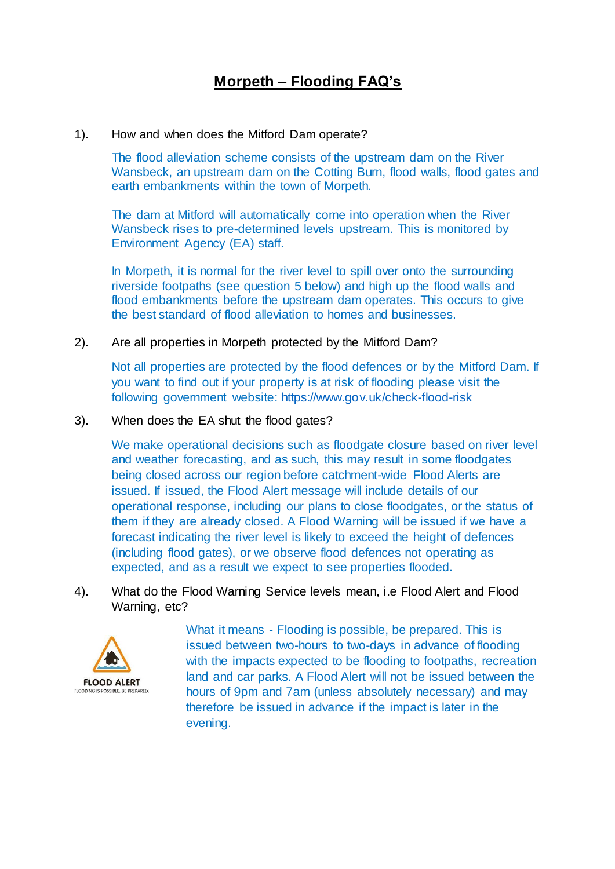## **Morpeth – Flooding FAQ's**

## 1). How and when does the Mitford Dam operate?

The flood alleviation scheme consists of the upstream dam on the River Wansbeck, an upstream dam on the Cotting Burn, flood walls, flood gates and earth embankments within the town of Morpeth.

The dam at Mitford will automatically come into operation when the River Wansbeck rises to pre-determined levels upstream. This is monitored by Environment Agency (EA) staff.

In Morpeth, it is normal for the river level to spill over onto the surrounding riverside footpaths (see question 5 below) and high up the flood walls and flood embankments before the upstream dam operates. This occurs to give the best standard of flood alleviation to homes and businesses.

2). Are all properties in Morpeth protected by the Mitford Dam?

Not all properties are protected by the flood defences or by the Mitford Dam. If you want to find out if your property is at risk of flooding please visit the following government website: <https://www.gov.uk/check-flood-risk>

3). When does the EA shut the flood gates?

We make operational decisions such as floodgate closure based on river level and weather forecasting, and as such, this may result in some floodgates being closed across our region before catchment-wide Flood Alerts are issued. If issued, the Flood Alert message will include details of our operational response, including our plans to close floodgates, or the status of them if they are already closed. A Flood Warning will be issued if we have a forecast indicating the river level is likely to exceed the height of defences (including flood gates), or we observe flood defences not operating as expected, and as a result we expect to see properties flooded.

4). What do the Flood Warning Service levels mean, i.e Flood Alert and Flood Warning, etc?



What it means - Flooding is possible, be prepared. This is issued between two-hours to two-days in advance of flooding with the impacts expected to be flooding to footpaths, recreation land and car parks. A Flood Alert will not be issued between the hours of 9pm and 7am (unless absolutely necessary) and may therefore be issued in advance if the impact is later in the evening.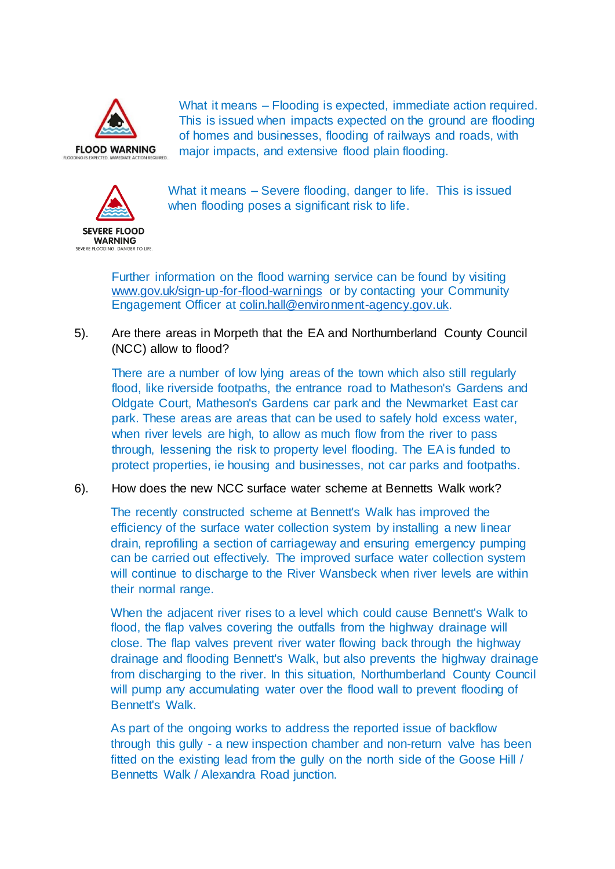

What it means – Flooding is expected, immediate action required. This is issued when impacts expected on the ground are flooding of homes and businesses, flooding of railways and roads, with major impacts, and extensive flood plain flooding.



What it means – Severe flooding, danger to life. This is issued when flooding poses a significant risk to life.

Further information on the flood warning service can be found by visiting [www.gov.uk/sign-up-for-flood-warnings](http://www.gov.uk/sign-up-for-flood-warnings) or by contacting your Community Engagement Officer at [colin.hall@environment-agency.gov.uk.](mailto:colin.hall@environment-agency.gov.uk)

5). Are there areas in Morpeth that the EA and Northumberland County Council (NCC) allow to flood?

There are a number of low lying areas of the town which also still regularly flood, like riverside footpaths, the entrance road to Matheson's Gardens and Oldgate Court, Matheson's Gardens car park and the Newmarket East car park. These areas are areas that can be used to safely hold excess water, when river levels are high, to allow as much flow from the river to pass through, lessening the risk to property level flooding. The EA is funded to protect properties, ie housing and businesses, not car parks and footpaths.

6). How does the new NCC surface water scheme at Bennetts Walk work?

The recently constructed scheme at Bennett's Walk has improved the efficiency of the surface water collection system by installing a new linear drain, reprofiling a section of carriageway and ensuring emergency pumping can be carried out effectively. The improved surface water collection system will continue to discharge to the River Wansbeck when river levels are within their normal range.

When the adjacent river rises to a level which could cause Bennett's Walk to flood, the flap valves covering the outfalls from the highway drainage will close. The flap valves prevent river water flowing back through the highway drainage and flooding Bennett's Walk, but also prevents the highway drainage from discharging to the river. In this situation, Northumberland County Council will pump any accumulating water over the flood wall to prevent flooding of Bennett's Walk.

As part of the ongoing works to address the reported issue of backflow through this gully - a new inspection chamber and non-return valve has been fitted on the existing lead from the gully on the north side of the Goose Hill / Bennetts Walk / Alexandra Road junction.